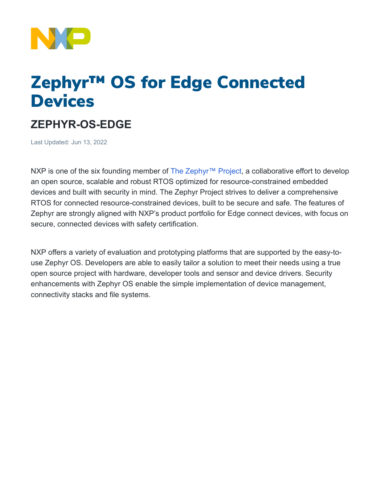

## Zephyr™ OS for Edge Connected **Devices**

## **ZEPHYR-OS-EDGE**

Last Updated: Jun 13, 2022

NXP is one of the six founding member of The Zephyr<sup>™</sup> Project, a collaborative effort to develop an open source, scalable and robust RTOS optimized for resource-constrained embedded devices and built with security in mind. The Zephyr Project strives to deliver a comprehensive RTOS for connected resource-constrained devices, built to be secure and safe. The features of Zephyr are strongly aligned with NXP's product portfolio for Edge connect devices, with focus on secure, connected devices with safety certification.

NXP offers a variety of evaluation and prototyping platforms that are supported by the easy-touse Zephyr OS. Developers are able to easily tailor a solution to meet their needs using a true open source project with hardware, developer tools and sensor and device drivers. Security enhancements with Zephyr OS enable the simple implementation of device management, connectivity stacks and file systems.